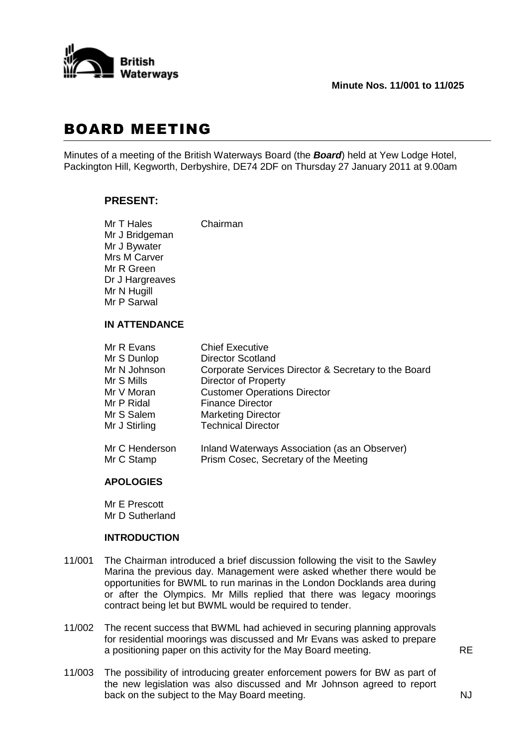

# BOARD MEETING

Minutes of a meeting of the British Waterways Board (the *Board*) held at Yew Lodge Hotel, Packington Hill, Kegworth, Derbyshire, DE74 2DF on Thursday 27 January 2011 at 9.00am

## **PRESENT:**

| Mr T Hales      | Chairman |
|-----------------|----------|
| Mr J Bridgeman  |          |
| Mr J Bywater    |          |
| Mrs M Carver    |          |
| Mr R Green      |          |
| Dr J Hargreaves |          |
| Mr N Hugill     |          |
| Mr P Sarwal     |          |
|                 |          |

#### **IN ATTENDANCE**

| Mr R Evans     | <b>Chief Executive</b>                               |
|----------------|------------------------------------------------------|
| Mr S Dunlop    | <b>Director Scotland</b>                             |
| Mr N Johnson   | Corporate Services Director & Secretary to the Board |
| Mr S Mills     | Director of Property                                 |
| Mr V Moran     | <b>Customer Operations Director</b>                  |
| Mr P Ridal     | <b>Finance Director</b>                              |
| Mr S Salem     | <b>Marketing Director</b>                            |
| Mr J Stirling  | <b>Technical Director</b>                            |
| Mr C Henderson | Inland Waterways Association (as an Observer)        |
| Mr C Stamp     | Prism Cosec, Secretary of the Meeting                |

#### **APOLOGIES**

Mr E Prescott Mr D Sutherland

### **INTRODUCTION**

- 11/001 The Chairman introduced a brief discussion following the visit to the Sawley Marina the previous day. Management were asked whether there would be opportunities for BWML to run marinas in the London Docklands area during or after the Olympics. Mr Mills replied that there was legacy moorings contract being let but BWML would be required to tender.
- 11/002 The recent success that BWML had achieved in securing planning approvals for residential moorings was discussed and Mr Evans was asked to prepare a positioning paper on this activity for the May Board meeting. RE

11/003 The possibility of introducing greater enforcement powers for BW as part of the new legislation was also discussed and Mr Johnson agreed to report back on the subject to the May Board meeting.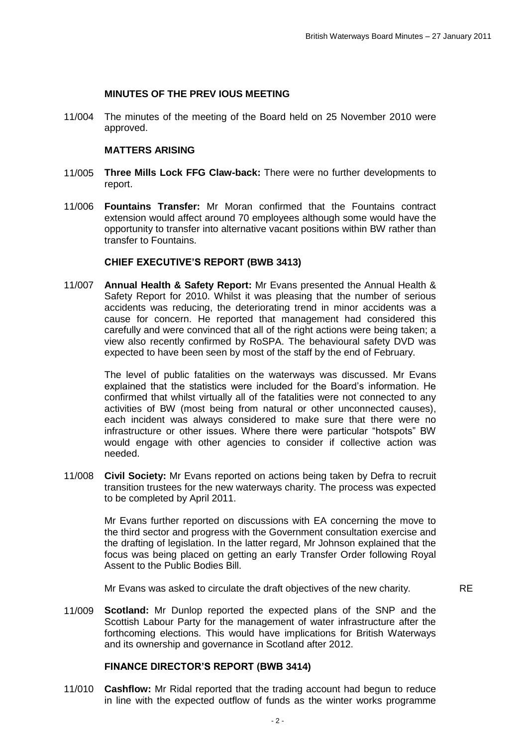#### **MINUTES OF THE PREV IOUS MEETING**

11/004 The minutes of the meeting of the Board held on 25 November 2010 were approved.

### **MATTERS ARISING**

- 11/005 **Three Mills Lock FFG Claw-back:** There were no further developments to report.
- 11/006 **Fountains Transfer:** Mr Moran confirmed that the Fountains contract extension would affect around 70 employees although some would have the opportunity to transfer into alternative vacant positions within BW rather than transfer to Fountains.

#### **CHIEF EXECUTIVE'S REPORT (BWB 3413)**

11/007 **Annual Health & Safety Report:** Mr Evans presented the Annual Health & Safety Report for 2010. Whilst it was pleasing that the number of serious accidents was reducing, the deteriorating trend in minor accidents was a cause for concern. He reported that management had considered this carefully and were convinced that all of the right actions were being taken; a view also recently confirmed by RoSPA. The behavioural safety DVD was expected to have been seen by most of the staff by the end of February.

> The level of public fatalities on the waterways was discussed. Mr Evans explained that the statistics were included for the Board"s information. He confirmed that whilst virtually all of the fatalities were not connected to any activities of BW (most being from natural or other unconnected causes), each incident was always considered to make sure that there were no infrastructure or other issues. Where there were particular "hotspots" BW would engage with other agencies to consider if collective action was needed.

11/008 **Civil Society:** Mr Evans reported on actions being taken by Defra to recruit transition trustees for the new waterways charity. The process was expected to be completed by April 2011.

> Mr Evans further reported on discussions with EA concerning the move to the third sector and progress with the Government consultation exercise and the drafting of legislation. In the latter regard, Mr Johnson explained that the focus was being placed on getting an early Transfer Order following Royal Assent to the Public Bodies Bill.

Mr Evans was asked to circulate the draft objectives of the new charity. RE

11/009 **Scotland:** Mr Dunlop reported the expected plans of the SNP and the Scottish Labour Party for the management of water infrastructure after the forthcoming elections. This would have implications for British Waterways and its ownership and governance in Scotland after 2012.

#### **FINANCE DIRECTOR'S REPORT (BWB 3414)**

11/010 **Cashflow:** Mr Ridal reported that the trading account had begun to reduce in line with the expected outflow of funds as the winter works programme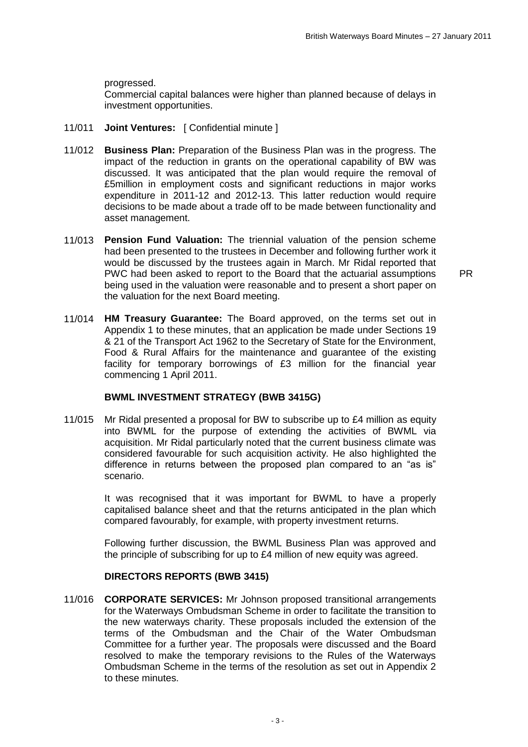progressed.

Commercial capital balances were higher than planned because of delays in investment opportunities.

- 11/011 **Joint Ventures:** [ Confidential minute ]
- 11/012 **Business Plan:** Preparation of the Business Plan was in the progress. The impact of the reduction in grants on the operational capability of BW was discussed. It was anticipated that the plan would require the removal of £5million in employment costs and significant reductions in major works expenditure in 2011-12 and 2012-13. This latter reduction would require decisions to be made about a trade off to be made between functionality and asset management.
- 11/013 **Pension Fund Valuation:** The triennial valuation of the pension scheme had been presented to the trustees in December and following further work it would be discussed by the trustees again in March. Mr Ridal reported that PWC had been asked to report to the Board that the actuarial assumptions being used in the valuation were reasonable and to present a short paper on the valuation for the next Board meeting.

PR

11/014 **HM Treasury Guarantee:** The Board approved, on the terms set out in Appendix 1 to these minutes, that an application be made under Sections 19 & 21 of the Transport Act 1962 to the Secretary of State for the Environment, Food & Rural Affairs for the maintenance and guarantee of the existing facility for temporary borrowings of £3 million for the financial year commencing 1 April 2011.

#### **BWML INVESTMENT STRATEGY (BWB 3415G)**

11/015 Mr Ridal presented a proposal for BW to subscribe up to £4 million as equity into BWML for the purpose of extending the activities of BWML via acquisition. Mr Ridal particularly noted that the current business climate was considered favourable for such acquisition activity. He also highlighted the difference in returns between the proposed plan compared to an "as is" scenario.

> It was recognised that it was important for BWML to have a properly capitalised balance sheet and that the returns anticipated in the plan which compared favourably, for example, with property investment returns.

> Following further discussion, the BWML Business Plan was approved and the principle of subscribing for up to £4 million of new equity was agreed.

#### **DIRECTORS REPORTS (BWB 3415)**

11/016 **CORPORATE SERVICES:** Mr Johnson proposed transitional arrangements for the Waterways Ombudsman Scheme in order to facilitate the transition to the new waterways charity. These proposals included the extension of the terms of the Ombudsman and the Chair of the Water Ombudsman Committee for a further year. The proposals were discussed and the Board resolved to make the temporary revisions to the Rules of the Waterways Ombudsman Scheme in the terms of the resolution as set out in Appendix 2 to these minutes.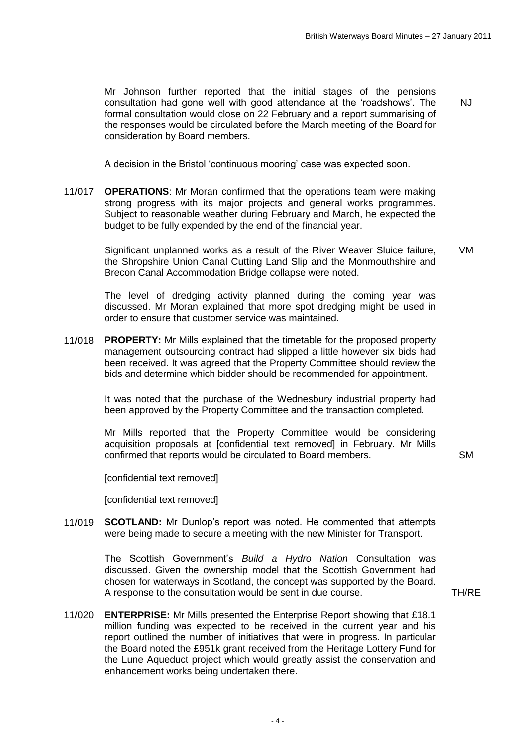Mr Johnson further reported that the initial stages of the pensions consultation had gone well with good attendance at the "roadshows". The formal consultation would close on 22 February and a report summarising of the responses would be circulated before the March meeting of the Board for consideration by Board members.  $N<sub>1</sub>$ 

A decision in the Bristol "continuous mooring" case was expected soon.

11/017 **OPERATIONS**: Mr Moran confirmed that the operations team were making strong progress with its major projects and general works programmes. Subject to reasonable weather during February and March, he expected the budget to be fully expended by the end of the financial year.

> Significant unplanned works as a result of the River Weaver Sluice failure, the Shropshire Union Canal Cutting Land Slip and the Monmouthshire and Brecon Canal Accommodation Bridge collapse were noted. VM

The level of dredging activity planned during the coming year was discussed. Mr Moran explained that more spot dredging might be used in order to ensure that customer service was maintained.

11/018 **PROPERTY:** Mr Mills explained that the timetable for the proposed property management outsourcing contract had slipped a little however six bids had been received. It was agreed that the Property Committee should review the bids and determine which bidder should be recommended for appointment.

> It was noted that the purchase of the Wednesbury industrial property had been approved by the Property Committee and the transaction completed.

Mr Mills reported that the Property Committee would be considering acquisition proposals at [confidential text removed] in February. Mr Mills confirmed that reports would be circulated to Board members. SM

[confidential text removed]

[confidential text removed]

11/019 **SCOTLAND:** Mr Dunlop"s report was noted. He commented that attempts were being made to secure a meeting with the new Minister for Transport.

> The Scottish Government"s *Build a Hydro Nation* Consultation was discussed. Given the ownership model that the Scottish Government had chosen for waterways in Scotland, the concept was supported by the Board. A response to the consultation would be sent in due course. TH/RE

11/020 **ENTERPRISE:** Mr Mills presented the Enterprise Report showing that £18.1 million funding was expected to be received in the current year and his report outlined the number of initiatives that were in progress. In particular the Board noted the £951k grant received from the Heritage Lottery Fund for the Lune Aqueduct project which would greatly assist the conservation and enhancement works being undertaken there.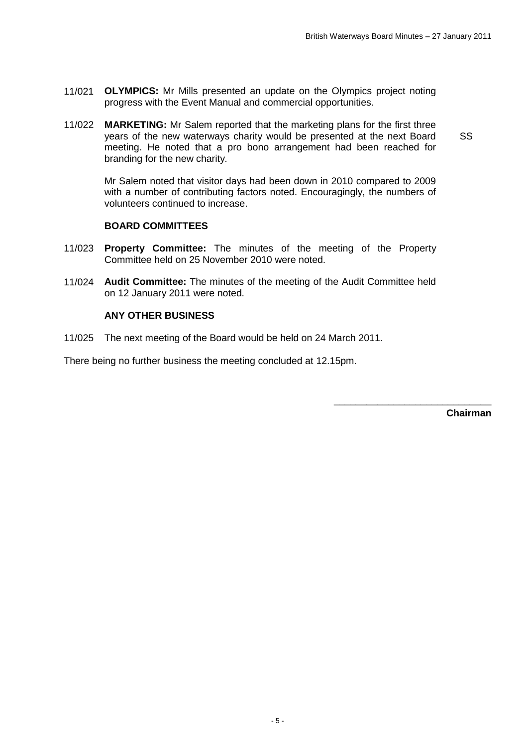- 11/021 **OLYMPICS:** Mr Mills presented an update on the Olympics project noting progress with the Event Manual and commercial opportunities.
- 11/022 **MARKETING:** Mr Salem reported that the marketing plans for the first three years of the new waterways charity would be presented at the next Board meeting. He noted that a pro bono arrangement had been reached for branding for the new charity. SS

Mr Salem noted that visitor days had been down in 2010 compared to 2009 with a number of contributing factors noted. Encouragingly, the numbers of volunteers continued to increase.

#### **BOARD COMMITTEES**

- 11/023 **Property Committee:** The minutes of the meeting of the Property Committee held on 25 November 2010 were noted.
- 11/024 **Audit Committee:** The minutes of the meeting of the Audit Committee held on 12 January 2011 were noted.

#### **ANY OTHER BUSINESS**

11/025 The next meeting of the Board would be held on 24 March 2011.

There being no further business the meeting concluded at 12.15pm.

**Chairman**

\_\_\_\_\_\_\_\_\_\_\_\_\_\_\_\_\_\_\_\_\_\_\_\_\_\_\_\_\_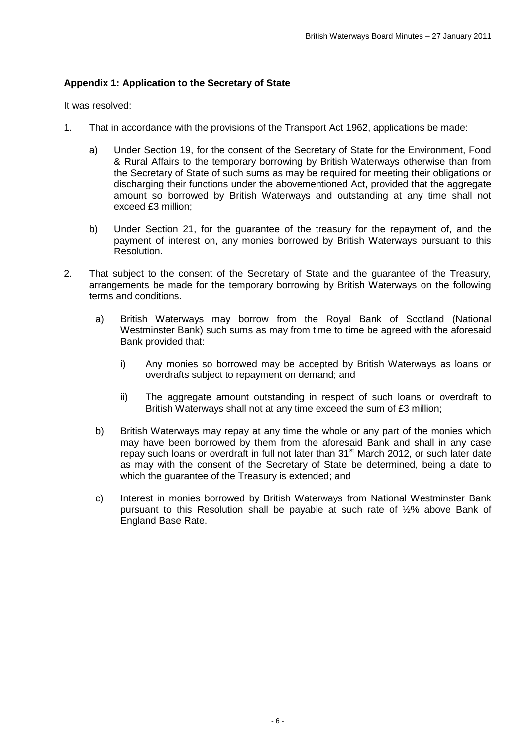## **Appendix 1: Application to the Secretary of State**

It was resolved:

- 1. That in accordance with the provisions of the Transport Act 1962, applications be made:
	- a) Under Section 19, for the consent of the Secretary of State for the Environment, Food & Rural Affairs to the temporary borrowing by British Waterways otherwise than from the Secretary of State of such sums as may be required for meeting their obligations or discharging their functions under the abovementioned Act, provided that the aggregate amount so borrowed by British Waterways and outstanding at any time shall not exceed £3 million;
	- b) Under Section 21, for the guarantee of the treasury for the repayment of, and the payment of interest on, any monies borrowed by British Waterways pursuant to this Resolution.
- 2. That subject to the consent of the Secretary of State and the guarantee of the Treasury, arrangements be made for the temporary borrowing by British Waterways on the following terms and conditions.
	- a) British Waterways may borrow from the Royal Bank of Scotland (National Westminster Bank) such sums as may from time to time be agreed with the aforesaid Bank provided that:
		- i) Any monies so borrowed may be accepted by British Waterways as loans or overdrafts subject to repayment on demand; and
		- ii) The aggregate amount outstanding in respect of such loans or overdraft to British Waterways shall not at any time exceed the sum of £3 million;
	- b) British Waterways may repay at any time the whole or any part of the monies which may have been borrowed by them from the aforesaid Bank and shall in any case repay such loans or overdraft in full not later than 31<sup>st</sup> March 2012, or such later date as may with the consent of the Secretary of State be determined, being a date to which the guarantee of the Treasury is extended; and
	- c) Interest in monies borrowed by British Waterways from National Westminster Bank pursuant to this Resolution shall be payable at such rate of ½% above Bank of England Base Rate.